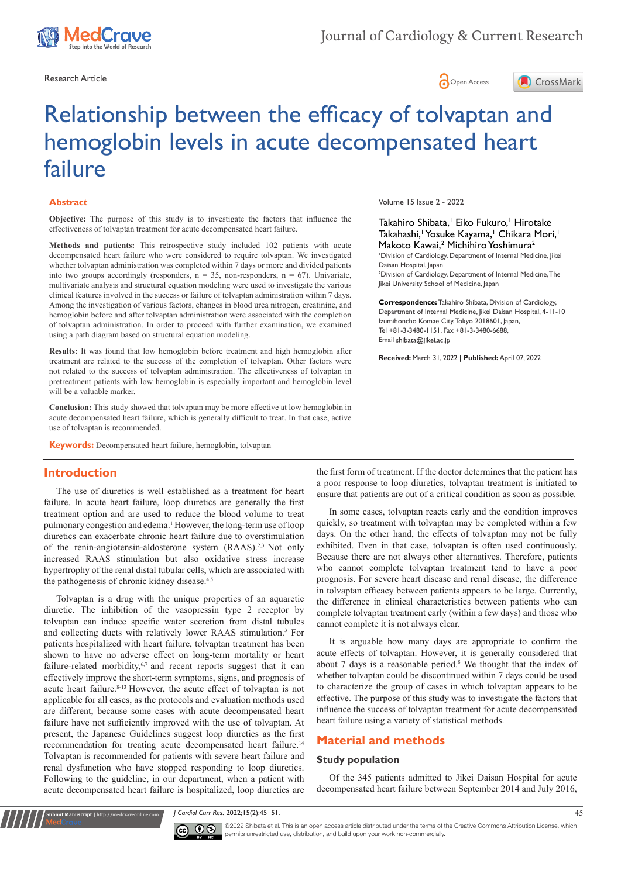





#### **Abstract**

**Objective:** The purpose of this study is to investigate the factors that influence the effectiveness of tolvaptan treatment for acute decompensated heart failure.

**Methods and patients:** This retrospective study included 102 patients with acute decompensated heart failure who were considered to require tolvaptan. We investigated whether tolvaptan administration was completed within 7 days or more and divided patients into two groups accordingly (responders,  $n = 35$ , non-responders,  $n = 67$ ). Univariate, multivariate analysis and structural equation modeling were used to investigate the various clinical features involved in the success or failure of tolvaptan administration within 7 days. Among the investigation of various factors, changes in blood urea nitrogen, creatinine, and hemoglobin before and after tolvaptan administration were associated with the completion of tolvaptan administration. In order to proceed with further examination, we examined using a path diagram based on structural equation modeling.

**Results:** It was found that low hemoglobin before treatment and high hemoglobin after treatment are related to the success of the completion of tolvaptan. Other factors were not related to the success of tolvaptan administration. The effectiveness of tolvaptan in pretreatment patients with low hemoglobin is especially important and hemoglobin level will be a valuable marker.

**Conclusion:** This study showed that tolvaptan may be more effective at low hemoglobin in acute decompensated heart failure, which is generally difficult to treat. In that case, active use of tolvaptan is recommended.

**Keywords:** Decompensated heart failure, hemoglobin, tolvaptan

## **Introduction**

The use of diuretics is well established as a treatment for heart failure. In acute heart failure, loop diuretics are generally the first treatment option and are used to reduce the blood volume to treat pulmonary congestion and edema.<sup>1</sup> However, the long-term use of loop diuretics can exacerbate chronic heart failure due to overstimulation of the renin-angiotensin-aldosterone system (RAAS).<sup>2,3</sup> Not only increased RAAS stimulation but also oxidative stress increase hypertrophy of the renal distal tubular cells, which are associated with the pathogenesis of chronic kidney disease.4,5

Tolvaptan is a drug with the unique properties of an aquaretic diuretic. The inhibition of the vasopressin type 2 receptor by tolvaptan can induce specific water secretion from distal tubules and collecting ducts with relatively lower RAAS stimulation.3 For patients hospitalized with heart failure, tolvaptan treatment has been shown to have no adverse effect on long-term mortality or heart failure-related morbidity,<sup>6,7</sup> and recent reports suggest that it can effectively improve the short-term symptoms, signs, and prognosis of acute heart failure.<sup>8-13</sup> However, the acute effect of tolvaptan is not applicable for all cases, as the protocols and evaluation methods used are different, because some cases with acute decompensated heart failure have not sufficiently improved with the use of tolvaptan. At present, the Japanese Guidelines suggest loop diuretics as the first recommendation for treating acute decompensated heart failure.<sup>14</sup> Tolvaptan is recommended for patients with severe heart failure and renal dysfunction who have stopped responding to loop diuretics. Following to the guideline, in our department, when a patient with acute decompensated heart failure is hospitalized, loop diuretics are

Volume 15 Issue 2 - 2022

Takahiro Shibata,<sup>1</sup> Eiko Fukuro,<sup>1</sup> Hirotake Takahashi,<sup>1</sup> Yosuke Kayama,<sup>1</sup> Chikara Mori,<sup>1</sup> Makoto Kawai,<sup>2</sup> Michihiro Yoshimura<sup>2</sup>

1 Division of Cardiology, Department of Internal Medicine, Jikei Daisan Hospital, Japan

2 Division of Cardiology, Department of Internal Medicine, The Jikei University School of Medicine, Japan

**Correspondence:** Takahiro Shibata, Division of Cardiology, Department of Internal Medicine, Jikei Daisan Hospital, 4-11-10 Izumihoncho Komae City, Tokyo 2018601, Japan, Tel +81-3-3480-1151, Fax +81-3-3480-6688, Email shibata@iikei.ac.ip

**Received:** March 31, 2022 | **Published:** April 07, 2022

the first form of treatment. If the doctor determines that the patient has a poor response to loop diuretics, tolvaptan treatment is initiated to ensure that patients are out of a critical condition as soon as possible.

In some cases, tolvaptan reacts early and the condition improves quickly, so treatment with tolvaptan may be completed within a few days. On the other hand, the effects of tolvaptan may not be fully exhibited. Even in that case, tolvaptan is often used continuously. Because there are not always other alternatives. Therefore, patients who cannot complete tolvaptan treatment tend to have a poor prognosis. For severe heart disease and renal disease, the difference in tolvaptan efficacy between patients appears to be large. Currently, the difference in clinical characteristics between patients who can complete tolvaptan treatment early (within a few days) and those who cannot complete it is not always clear.

It is arguable how many days are appropriate to confirm the acute effects of tolvaptan. However, it is generally considered that about  $7$  days is a reasonable period.<sup>8</sup> We thought that the index of whether tolvaptan could be discontinued within 7 days could be used to characterize the group of cases in which tolvaptan appears to be effective. The purpose of this study was to investigate the factors that influence the success of tolvaptan treatment for acute decompensated heart failure using a variety of statistical methods.

# **Material and methods**

#### **Study population**

Of the 345 patients admitted to Jikei Daisan Hospital for acute decompensated heart failure between September 2014 and July 2016,

*J Cardiol Curr Res.* 2022;15(2):45‒51. 45



**it Manuscript** | http://medcraveonline.c

 $\boxed{\mathbf{c}}$   $\boxed{\mathbf{c}}$   $\boxed{\mathbf{c}}$   $\boxed{\mathbf{c}}$   $\boxed{\mathbf{c}}$   $\boxed{\mathbf{c}}$   $\boxed{\mathbf{c}}$  and  $\boxed{\mathbf{c}}$  and  $\boxed{\mathbf{c}}$  is an open access article distributed under the terms of the [Creative Commons Attribution License,](https://creativecommons.org/licenses/by-nc/4.0/) which permits unrestricted use, distribution, and build upon your work non-commercially.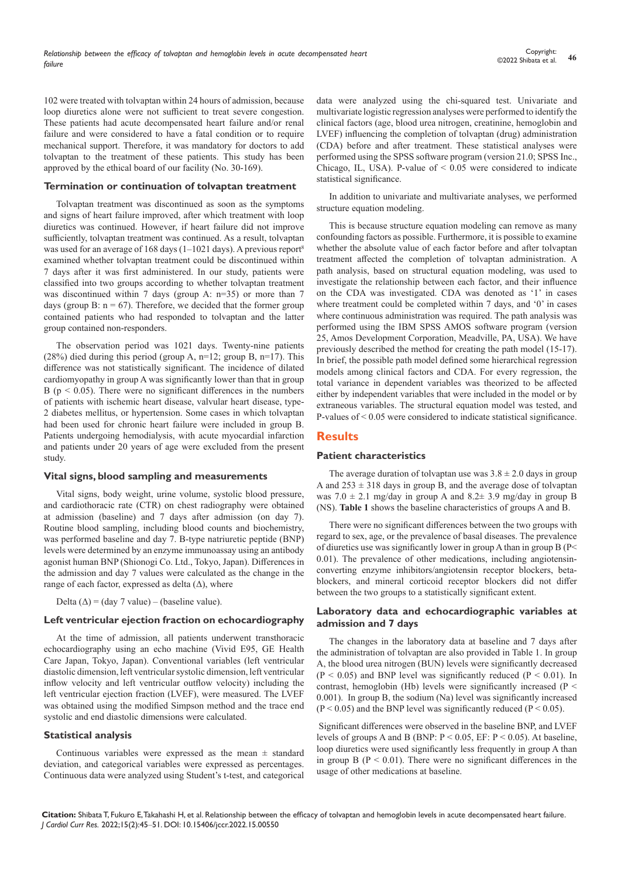102 were treated with tolvaptan within 24 hours of admission, because loop diuretics alone were not sufficient to treat severe congestion. These patients had acute decompensated heart failure and/or renal failure and were considered to have a fatal condition or to require mechanical support. Therefore, it was mandatory for doctors to add tolvaptan to the treatment of these patients. This study has been approved by the ethical board of our facility (No. 30-169).

#### **Termination or continuation of tolvaptan treatment**

Tolvaptan treatment was discontinued as soon as the symptoms and signs of heart failure improved, after which treatment with loop diuretics was continued. However, if heart failure did not improve sufficiently, tolvaptan treatment was continued. As a result, tolvaptan was used for an average of 168 days (1–1021 days). A previous report<sup>8</sup> examined whether tolvaptan treatment could be discontinued within 7 days after it was first administered. In our study, patients were classified into two groups according to whether tolvaptan treatment was discontinued within 7 days (group A: n=35) or more than 7 days (group B:  $n = 67$ ). Therefore, we decided that the former group contained patients who had responded to tolvaptan and the latter group contained non-responders.

The observation period was 1021 days. Twenty-nine patients (28%) died during this period (group A,  $n=12$ ; group B,  $n=17$ ). This difference was not statistically significant. The incidence of dilated cardiomyopathy in group A was significantly lower than that in group B ( $p < 0.05$ ). There were no significant differences in the numbers of patients with ischemic heart disease, valvular heart disease, type-2 diabetes mellitus, or hypertension. Some cases in which tolvaptan had been used for chronic heart failure were included in group B. Patients undergoing hemodialysis, with acute myocardial infarction and patients under 20 years of age were excluded from the present study.

## **Vital signs, blood sampling and measurements**

Vital signs, body weight, urine volume, systolic blood pressure, and cardiothoracic rate (CTR) on chest radiography were obtained at admission (baseline) and 7 days after admission (on day 7). Routine blood sampling, including blood counts and biochemistry, was performed baseline and day 7. B-type natriuretic peptide (BNP) levels were determined by an enzyme immunoassay using an antibody agonist human BNP (Shionogi Co. Ltd., Tokyo, Japan). Differences in the admission and day 7 values were calculated as the change in the range of each factor, expressed as delta  $(\Delta)$ , where

Delta  $(\Delta)$  = (day 7 value) – (baseline value).

#### **Left ventricular ejection fraction on echocardiography**

At the time of admission, all patients underwent transthoracic echocardiography using an echo machine (Vivid E95, GE Health Care Japan, Tokyo, Japan). Conventional variables (left ventricular diastolic dimension, left ventricular systolic dimension, left ventricular inflow velocity and left ventricular outflow velocity) including the left ventricular ejection fraction (LVEF), were measured. The LVEF was obtained using the modified Simpson method and the trace end systolic and end diastolic dimensions were calculated.

#### **Statistical analysis**

Continuous variables were expressed as the mean  $\pm$  standard deviation, and categorical variables were expressed as percentages. Continuous data were analyzed using Student's t-test, and categorical data were analyzed using the chi-squared test. Univariate and multivariate logistic regression analyses were performed to identify the clinical factors (age, blood urea nitrogen, creatinine, hemoglobin and LVEF) influencing the completion of tolvaptan (drug) administration (CDA) before and after treatment. These statistical analyses were performed using the SPSS software program (version 21.0; SPSS Inc., Chicago, IL, USA). P-value of  $\leq 0.05$  were considered to indicate statistical significance.

In addition to univariate and multivariate analyses, we performed structure equation modeling.

This is because structure equation modeling can remove as many confounding factors as possible. Furthermore, it is possible to examine whether the absolute value of each factor before and after tolvaptan treatment affected the completion of tolvaptan administration. A path analysis, based on structural equation modeling, was used to investigate the relationship between each factor, and their influence on the CDA was investigated. CDA was denoted as '1' in cases where treatment could be completed within 7 days, and '0' in cases where continuous administration was required. The path analysis was performed using the IBM SPSS AMOS software program (version 25, Amos Development Corporation, Meadville, PA, USA). We have previously described the method for creating the path model (15-17). In brief, the possible path model defined some hierarchical regression models among clinical factors and CDA. For every regression, the total variance in dependent variables was theorized to be affected either by independent variables that were included in the model or by extraneous variables. The structural equation model was tested, and P-values of < 0.05 were considered to indicate statistical significance.

# **Results**

## **Patient characteristics**

The average duration of tolvaptan use was  $3.8 \pm 2.0$  days in group A and  $253 \pm 318$  days in group B, and the average dose of tolvaptan was  $7.0 \pm 2.1$  mg/day in group A and  $8.2 \pm 3.9$  mg/day in group B (NS). **Table 1** shows the baseline characteristics of groups A and B.

There were no significant differences between the two groups with regard to sex, age, or the prevalence of basal diseases. The prevalence of diuretics use was significantly lower in group A than in group B (P< 0.01). The prevalence of other medications, including angiotensinconverting enzyme inhibitors/angiotensin receptor blockers, betablockers, and mineral corticoid receptor blockers did not differ between the two groups to a statistically significant extent.

## **Laboratory data and echocardiographic variables at admission and 7 days**

The changes in the laboratory data at baseline and 7 days after the administration of tolvaptan are also provided in Table 1. In group A, the blood urea nitrogen (BUN) levels were significantly decreased  $(P < 0.05)$  and BNP level was significantly reduced  $(P < 0.01)$ . In contrast, hemoglobin (Hb) levels were significantly increased ( $P <$ 0.001). In group B, the sodium (Na) level was significantly increased  $(P < 0.05)$  and the BNP level was significantly reduced  $(P < 0.05)$ .

Significant differences were observed in the baseline BNP, and LVEF levels of groups A and B (BNP:  $P < 0.05$ , EF:  $P < 0.05$ ). At baseline, loop diuretics were used significantly less frequently in group A than in group B ( $P < 0.01$ ). There were no significant differences in the usage of other medications at baseline.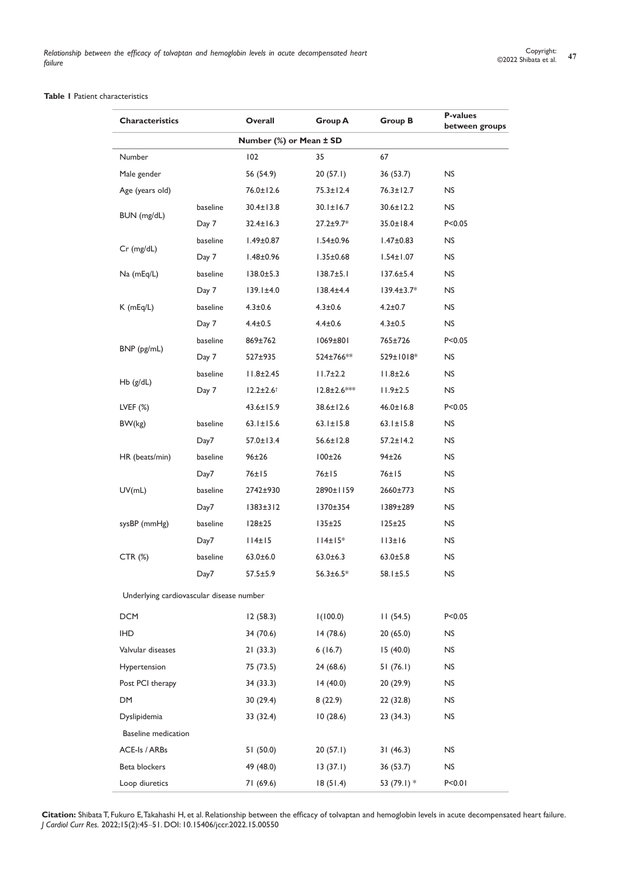# **Table 1** Patient characteristics

| <b>Characteristics</b>                   |          | Overall                 | <b>Group A</b>     | <b>Group B</b>   | <b>P-values</b><br>between groups |
|------------------------------------------|----------|-------------------------|--------------------|------------------|-----------------------------------|
|                                          |          | Number (%) or Mean ± SD |                    |                  |                                   |
| Number                                   |          | 102                     | 35                 | 67               |                                   |
| Male gender                              |          | 56 (54.9)               | 20(57.1)           | 36(53.7)         | NS                                |
| Age (years old)                          |          | 76.0±12.6               | 75.3±12.4          | $76.3 \pm 12.7$  | <b>NS</b>                         |
| BUN (mg/dL)                              | baseline | 30.4±13.8               | $30.1 \pm 16.7$    | $30.6 \pm 12.2$  | <b>NS</b>                         |
|                                          | Day 7    | $32.4 \pm 16.3$         | $27.2 \pm 9.7*$    | $35.0 \pm 18.4$  | P < 0.05                          |
|                                          | baseline | $1.49 \pm 0.87$         | $1.54 \pm 0.96$    | $1.47 \pm 0.83$  | <b>NS</b>                         |
| $Cr$ (mg/dL)                             | Day 7    | $1.48 \pm 0.96$         | $1.35 \pm 0.68$    | $1.54 \pm 1.07$  | NS.                               |
| Na (mEq/L)                               | baseline | $138.0 \pm 5.3$         | $138.7 \pm 5.1$    | $137.6 \pm 5.4$  | NS.                               |
|                                          | Day 7    | $139.1 \pm 4.0$         | $138.4 \pm 4.4$    | $139.4 \pm 3.7*$ | <b>NS</b>                         |
| $K$ (mEq/L)                              | baseline | $4.3 \pm 0.6$           | $4.3 \pm 0.6$      | $4.2 \pm 0.7$    | NS.                               |
|                                          | Day 7    | $4.4 \pm 0.5$           | $4.4 \pm 0.6$      | $4.3 \pm 0.5$    | <b>NS</b>                         |
|                                          | baseline | 869±762                 | 1069±801           | 765±726          | P < 0.05                          |
| BNP (pg/mL)                              | Day 7    | 527±935                 | 524±766**          | 529±1018*        | NS.                               |
|                                          | baseline | $11.8 \pm 2.45$         | $11.7 \pm 2.2$     | $11.8 \pm 2.6$   | NS                                |
| $Hb$ ( $g/dL$ )                          | Day 7    | $12.2 \pm 2.6^+$        | $12.8 \pm 2.6$ *** | $11.9 \pm 2.5$   | <b>NS</b>                         |
| LVEF $(%)$                               |          | $43.6 \pm 15.9$         | 38.6±12.6          | $46.0 \pm 16.8$  | P < 0.05                          |
| BW(kg)                                   | baseline | $63.1 \pm 15.6$         | $63.1 \pm 15.8$    | $63.1 \pm 15.8$  | NS.                               |
|                                          | Day7     | $57.0 \pm 13.4$         | $56.6 \pm 12.8$    | $57.2 \pm 14.2$  | <b>NS</b>                         |
| HR (beats/min)                           | baseline | 96±26                   | $100\pm26$         | 94±26            | NS.                               |
|                                          | Day7     | 76±15                   | 76±15              | 76±15            | <b>NS</b>                         |
| UV(mL)                                   | baseline | 2742±930                | 2890±1159          | 2660±773         | NS.                               |
|                                          | Day7     | $1383 \pm 312$          | 1370±354           | 1389±289         | <b>NS</b>                         |
| sysBP (mmHg)                             | baseline | $128 \pm 25$            | $135 \pm 25$       | $125 \pm 25$     | <b>NS</b>                         |
|                                          | Day7     | 114±15                  | $114 \pm 15$ *     | 113±16           | NS                                |
| CTR (%)                                  | baseline | $63.0 \pm 6.0$          | $63.0 \pm 6.3$     | $63.0 \pm 5.8$   | NS.                               |
|                                          | Day7     | $57.5 \pm 5.9$          | $56.3 \pm 6.5^*$   | $58.1 \pm 5.5$   | <b>NS</b>                         |
| Underlying cardiovascular disease number |          |                         |                    |                  |                                   |
| <b>DCM</b>                               |          | 12(58.3)                | 1(100.0)           | 11(54.5)         | P < 0.05                          |
| <b>IHD</b>                               |          | 34 (70.6)               | 14(78.6)           | 20(65.0)         | NS.                               |
| Valvular diseases                        |          | 21(33.3)                | 6(16.7)            | 15(40.0)         | <b>NS</b>                         |
| Hypertension                             |          | 75 (73.5)               | 24(68.6)           | 51(76.1)         | <b>NS</b>                         |
| Post PCI therapy                         |          | 34 (33.3)               | 14(40.0)           | 20(29.9)         | <b>NS</b>                         |
| DM                                       |          | 30(29.4)                | 8(22.9)            | 22(32.8)         | <b>NS</b>                         |
| Dyslipidemia                             |          | 33 (32.4)               | 10(28.6)           | 23(34.3)         | <b>NS</b>                         |
| <b>Baseline</b> medication               |          |                         |                    |                  |                                   |
| ACE-Is / ARBs                            |          | 51(50.0)                | 20(57.1)           | 31(46.3)         | <b>NS</b>                         |
| Beta blockers                            |          | 49 (48.0)               | 13(37.1)           | 36 (53.7)        | <b>NS</b>                         |
| Loop diuretics                           |          | 71 (69.6)               | 18(51.4)           | 53 (79.1) *      | P < 0.01                          |

**Citation:** Shibata T, Fukuro E, Takahashi H, et al. Relationship between the efficacy of tolvaptan and hemoglobin levels in acute decompensated heart failure. *J Cardiol Curr Res.* 2022;15(2):45‒51. DOI: [10.15406/jccr.2022.15.00550](https://doi.org/10.15406/jccr.2022.15.00550)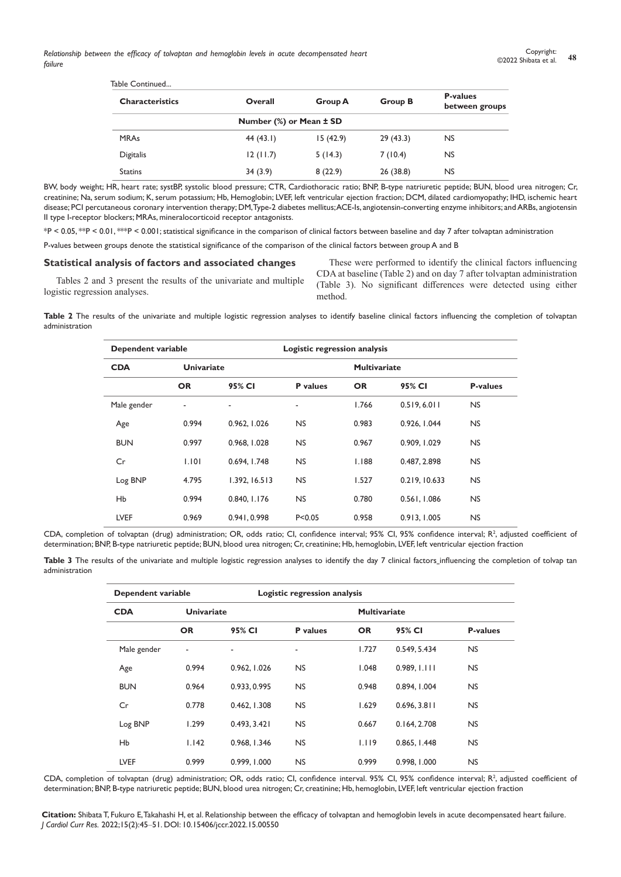| Table Continued        |                         |                |                |                                   |
|------------------------|-------------------------|----------------|----------------|-----------------------------------|
| <b>Characteristics</b> | Overall                 | <b>Group A</b> | <b>Group B</b> | <b>P-values</b><br>between groups |
|                        | Number (%) or Mean ± SD |                |                |                                   |
| <b>MRAs</b>            | 44(43.1)                | 15 (42.9)      | 29(43.3)       | <b>NS</b>                         |
| Digitalis              | 12(11.7)                | 5(14.3)        | 7(10.4)        | NS.                               |
| <b>Statins</b>         | 34(3.9)                 | 8(22.9)        | 26 (38.8)      | <b>NS</b>                         |

BW, body weight; HR, heart rate; systBP, systolic blood pressure; CTR, Cardiothoracic ratio; BNP, B-type natriuretic peptide; BUN, blood urea nitrogen; Cr, creatinine; Na, serum sodium; K, serum potassium; Hb, Hemoglobin; LVEF, left ventricular ejection fraction; DCM, dilated cardiomyopathy; IHD, ischemic heart disease; PCI percutaneous coronary intervention therapy; DM, Type-2 diabetes mellitus; ACE-Is, angiotensin-converting enzyme inhibitors; and ARBs, angiotensin II type I-receptor blockers; MRAs, mineralocorticoid receptor antagonists.

\*P < 0.05, \*\*P < 0.01, \*\*\*P < 0.001; statistical significance in the comparison of clinical factors between baseline and day 7 after tolvaptan administration

P-values between groups denote the statistical significance of the comparison of the clinical factors between group A and B

#### **Statistical analysis of factors and associated changes**

Tables 2 and 3 present the results of the univariate and multiple logistic regression analyses.

These were performed to identify the clinical factors influencing CDA at baseline (Table 2) and on day 7 after tolvaptan administration (Table 3). No significant differences were detected using either method.

**Table 2** The results of the univariate and multiple logistic regression analyses to identify baseline clinical factors influencing the completion of tolvaptan administration

| Dependent variable |                          |               | Logistic regression analysis |           |               |                 |  |
|--------------------|--------------------------|---------------|------------------------------|-----------|---------------|-----------------|--|
| <b>CDA</b>         | <b>Univariate</b>        |               | <b>Multivariate</b>          |           |               |                 |  |
|                    | <b>OR</b>                | 95% CI        | <b>P</b> values              | <b>OR</b> | 95% CI        | <b>P-values</b> |  |
| Male gender        | $\overline{\phantom{a}}$ | ٠             | ٠                            | 1.766     | 0.519, 6.011  | <b>NS</b>       |  |
| Age                | 0.994                    | 0.962, 1.026  | <b>NS</b>                    | 0.983     | 0.926, 1.044  | <b>NS</b>       |  |
| <b>BUN</b>         | 0.997                    | 0.968, 1.028  | <b>NS</b>                    | 0.967     | 0.909, 1.029  | <b>NS</b>       |  |
| Cr                 | 1.101                    | 0.694, I.748  | <b>NS</b>                    | 1.188     | 0.487, 2.898  | <b>NS</b>       |  |
| Log BNP            | 4.795                    | 1.392, 16.513 | <b>NS</b>                    | 1.527     | 0.219, 10.633 | <b>NS</b>       |  |
| <b>Hb</b>          | 0.994                    | 0.840, I.I76  | <b>NS</b>                    | 0.780     | 0.561, 1.086  | <b>NS</b>       |  |
| <b>LVEF</b>        | 0.969                    | 0.941, 0.998  | P < 0.05                     | 0.958     | 0.913, 1.005  | <b>NS</b>       |  |

CDA, completion of tolvaptan (drug) administration; OR, odds ratio; CI, confidence interval; 95% CI, 95% confidence interval; R<sup>2</sup>, adjusted coefficient of determination; BNP, B-type natriuretic peptide; BUN, blood urea nitrogen; Cr, creatinine; Hb, hemoglobin, LVEF, left ventricular ejection fraction

Table 3 The results of the univariate and multiple logistic regression analyses to identify the day 7 clinical factors influencing the completion of tolvap tan administration

| Dependent variable              |           |              | Logistic regression analysis |           |                     |                 |  |
|---------------------------------|-----------|--------------|------------------------------|-----------|---------------------|-----------------|--|
| <b>Univariate</b><br><b>CDA</b> |           |              |                              |           | <b>Multivariate</b> |                 |  |
|                                 | <b>OR</b> | 95% CI       | <b>P</b> values              | <b>OR</b> | 95% CI              | <b>P-values</b> |  |
| Male gender                     | ٠         | ٠            | ٠                            | 1.727     | 0.549, 5.434        | <b>NS</b>       |  |
| Age                             | 0.994     | 0.962, 1.026 | <b>NS</b>                    | 1.048     | 0.989, 1.111        | <b>NS</b>       |  |
| <b>BUN</b>                      | 0.964     | 0.933, 0.995 | <b>NS</b>                    | 0.948     | 0.894, 1.004        | <b>NS</b>       |  |
| Cr                              | 0.778     | 0.462, 1.308 | <b>NS</b>                    | 1.629     | 0.696, 3.811        | NS.             |  |
| Log BNP                         | 1.299     | 0.493, 3.421 | <b>NS</b>                    | 0.667     | 0.164, 2.708        | <b>NS</b>       |  |
| <b>Hb</b>                       | 1.142     | 0.968, I.346 | <b>NS</b>                    | 1.119     | 0.865, I.448        | <b>NS</b>       |  |
| <b>LVEF</b>                     | 0.999     | 0.999, 1.000 | <b>NS</b>                    | 0.999     | 0.998, 1.000        | <b>NS</b>       |  |

CDA, completion of tolvaptan (drug) administration; OR, odds ratio; CI, confidence interval. 95% CI, 95% confidence interval; R<sup>2</sup>, adjusted coefficient of determination; BNP, B-type natriuretic peptide; BUN, blood urea nitrogen; Cr, creatinine; Hb, hemoglobin, LVEF, left ventricular ejection fraction

**Citation:** Shibata T, Fukuro E, Takahashi H, et al. Relationship between the efficacy of tolvaptan and hemoglobin levels in acute decompensated heart failure. *J Cardiol Curr Res.* 2022;15(2):45‒51. DOI: [10.15406/jccr.2022.15.00550](https://doi.org/10.15406/jccr.2022.15.00550)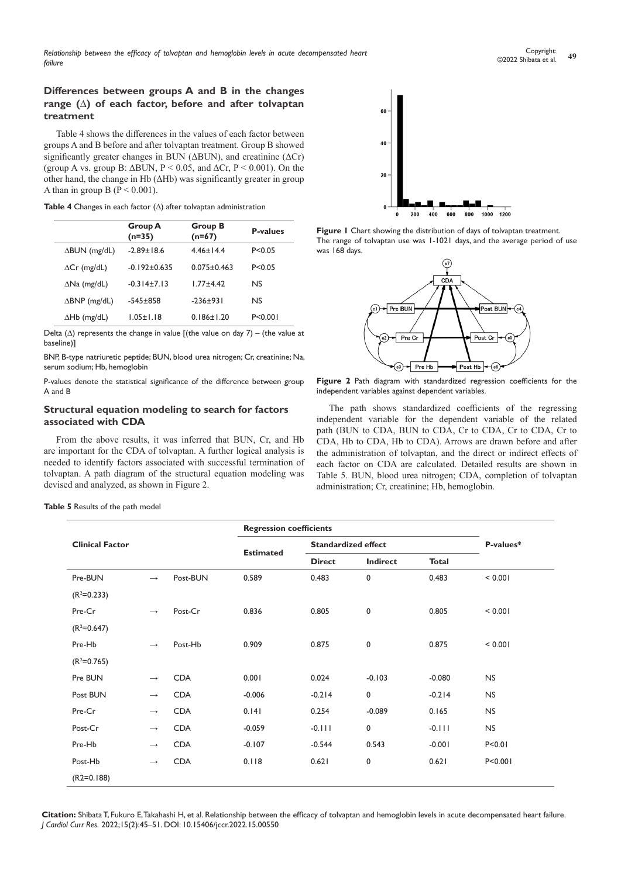# **Differences between groups A and B in the changes range (Δ) of each factor, before and after tolvaptan treatment**

Table 4 shows the differences in the values of each factor between groups A and B before and after tolvaptan treatment. Group B showed significantly greater changes in BUN ( $\triangle$ BUN), and creatinine ( $\triangle$ Cr) (group A vs. group B:  $\triangle BUN$ , P < 0.05, and  $\triangle Cr$ , P < 0.001). On the other hand, the change in Hb (ΔHb) was significantly greater in group A than in group B ( $P \le 0.001$ ).

**Table 4** Changes in each factor (Δ) after tolvaptan administration

|                         | <b>Group A</b><br>$(n=35)$ | <b>Group B</b><br>$(n=67)$ | <b>P-values</b> |
|-------------------------|----------------------------|----------------------------|-----------------|
| $\Delta$ BUN (mg/dL)    | $-2.89 \pm 18.6$           | $4.46 \pm 14.4$            | P < 0.05        |
| $\Delta Cr$ (mg/dL)     | $-0.192 \pm 0.635$         | $0.075 \pm 0.463$          | P < 0.05        |
| $\Delta$ Na (mg/dL)     | $-0.314 \pm 7.13$          | $1.77 + 4.42$              | <b>NS</b>       |
| $\triangle BNP$ (mg/dL) | $-545+858$                 | $-236+931$                 | <b>NS</b>       |
| $\Delta Hb$ (mg/dL)     | $1.05 \pm 1.18$            | $0.186 \pm 1.20$           | P < 0.001       |

Delta ( $\Delta$ ) represents the change in value [(the value on day 7) – (the value at baseline)]

BNP, B-type natriuretic peptide; BUN, blood urea nitrogen; Cr, creatinine; Na, serum sodium; Hb, hemoglobin

P-values denote the statistical significance of the difference between group A and B

## **Structural equation modeling to search for factors associated with CDA**

From the above results, it was inferred that BUN, Cr, and Hb are important for the CDA of tolvaptan. A further logical analysis is needed to identify factors associated with successful termination of tolvaptan. A path diagram of the structural equation modeling was devised and analyzed, as shown in Figure 2.



**Figure 1** Chart showing the distribution of days of tolvaptan treatment. The range of tolvaptan use was 1-1021 days, and the average period of use was 168 days.



**Figure 2** Path diagram with standardized regression coefficients for the independent variables against dependent variables.

The path shows standardized coefficients of the regressing independent variable for the dependent variable of the related path (BUN to CDA, BUN to CDA, Cr to CDA, Cr to CDA, Cr to CDA, Hb to CDA, Hb to CDA). Arrows are drawn before and after the administration of tolvaptan, and the direct or indirect effects of each factor on CDA are calculated. Detailed results are shown in Table 5. BUN, blood urea nitrogen; CDA, completion of tolvaptan administration; Cr, creatinine; Hb, hemoglobin.

**Table 5** Results of the path model

|                        |                   |            | <b>Regression coefficients</b> |                            |             |              |           |
|------------------------|-------------------|------------|--------------------------------|----------------------------|-------------|--------------|-----------|
| <b>Clinical Factor</b> |                   |            |                                | <b>Standardized effect</b> |             |              | P-values* |
|                        |                   |            | <b>Estimated</b>               | <b>Direct</b>              | Indirect    | <b>Total</b> |           |
| Pre-BUN                | $\longrightarrow$ | Post-BUN   | 0.589                          | 0.483                      | 0           | 0.483        | < 0.001   |
| $(R2=0.233)$           |                   |            |                                |                            |             |              |           |
| Pre-Cr                 | $\rightarrow$     | Post-Cr    | 0.836                          | 0.805                      | 0           | 0.805        | < 0.001   |
| $(R2=0.647)$           |                   |            |                                |                            |             |              |           |
| Pre-Hb                 | $\rightarrow$     | Post-Hb    | 0.909                          | 0.875                      | $\mathbf 0$ | 0.875        | < 0.001   |
| $(R2=0.765)$           |                   |            |                                |                            |             |              |           |
| Pre BUN                | $\longrightarrow$ | <b>CDA</b> | 0.001                          | 0.024                      | $-0.103$    | $-0.080$     | <b>NS</b> |
| Post BUN               | $\longrightarrow$ | <b>CDA</b> | $-0.006$                       | $-0.214$                   | 0           | $-0.214$     | <b>NS</b> |
| Pre-Cr                 | $\longrightarrow$ | <b>CDA</b> | 0.141                          | 0.254                      | $-0.089$    | 0.165        | <b>NS</b> |
| Post-Cr                | $\longrightarrow$ | <b>CDA</b> | $-0.059$                       | $-0.111$                   | 0           | $-0.111$     | <b>NS</b> |
| Pre-Hb                 | $\longrightarrow$ | <b>CDA</b> | $-0.107$                       | $-0.544$                   | 0.543       | $-0.001$     | P < 0.01  |
| Post-Hb                | $\longrightarrow$ | <b>CDA</b> | 0.118                          | 0.621                      | 0           | 0.621        | P < 0.001 |
| $(R2=0.188)$           |                   |            |                                |                            |             |              |           |

**Citation:** Shibata T, Fukuro E, Takahashi H, et al. Relationship between the efficacy of tolvaptan and hemoglobin levels in acute decompensated heart failure. *J Cardiol Curr Res.* 2022;15(2):45‒51. DOI: [10.15406/jccr.2022.15.00550](https://doi.org/10.15406/jccr.2022.15.00550)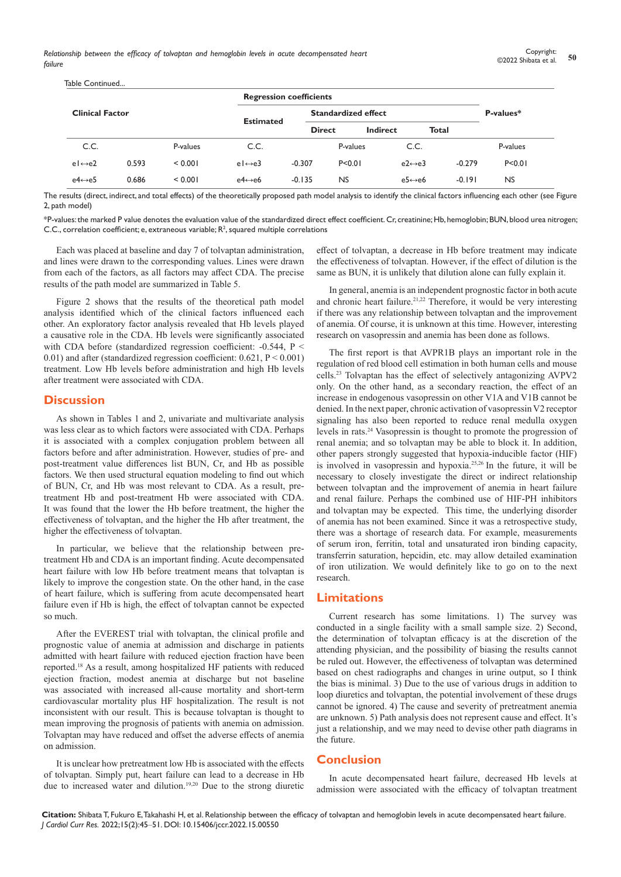|                        |                 |                         | <b>Regression coefficients</b> |                            |                         |          |              |  |
|------------------------|-----------------|-------------------------|--------------------------------|----------------------------|-------------------------|----------|--------------|--|
| <b>Clinical Factor</b> |                 |                         |                                | <b>Standardized effect</b> |                         |          | P-values*    |  |
|                        |                 |                         |                                |                            | Indirect                |          |              |  |
|                        | P-values        | C.C.                    |                                | P-values                   | C.C.                    |          | P-values     |  |
| 0.593                  | < 0.001         | $e \rightarrow e3$      | $-0.307$                       | P < 0.01                   | $e2 \leftrightarrow e3$ | $-0.279$ | P < 0.01     |  |
| 0.686                  | < 0.001         | $e4 \leftrightarrow e6$ | $-0.135$                       | <b>NS</b>                  | $e5 \leftrightarrow e6$ | $-0.191$ | <b>NS</b>    |  |
|                        | Table Continued |                         | <b>Estimated</b>               |                            | <b>Direct</b>           |          | <b>Total</b> |  |

The results (direct, indirect, and total effects) of the theoretically proposed path model analysis to identify the clinical factors influencing each other (see Figure 2, path model)

\*P-values: the marked P value denotes the evaluation value of the standardized direct effect coefficient. Cr, creatinine; Hb, hemoglobin; BUN, blood urea nitrogen; C.C., correlation coefficient; e, extraneous variable;  $R^2$ , squared multiple correlations

Each was placed at baseline and day 7 of tolvaptan administration, and lines were drawn to the corresponding values. Lines were drawn from each of the factors, as all factors may affect CDA. The precise results of the path model are summarized in Table 5.

Figure 2 shows that the results of the theoretical path model analysis identified which of the clinical factors influenced each other. An exploratory factor analysis revealed that Hb levels played a causative role in the CDA. Hb levels were significantly associated with CDA before (standardized regression coefficient: -0.544, P < 0.01) and after (standardized regression coefficient: 0.621, P < 0.001) treatment. Low Hb levels before administration and high Hb levels after treatment were associated with CDA.

## **Discussion**

As shown in Tables 1 and 2, univariate and multivariate analysis was less clear as to which factors were associated with CDA. Perhaps it is associated with a complex conjugation problem between all factors before and after administration. However, studies of pre- and post-treatment value differences list BUN, Cr, and Hb as possible factors. We then used structural equation modeling to find out which of BUN, Cr, and Hb was most relevant to CDA. As a result, pretreatment Hb and post-treatment Hb were associated with CDA. It was found that the lower the Hb before treatment, the higher the effectiveness of tolvaptan, and the higher the Hb after treatment, the higher the effectiveness of tolvaptan.

In particular, we believe that the relationship between pretreatment Hb and CDA is an important finding. Acute decompensated heart failure with low Hb before treatment means that tolvaptan is likely to improve the congestion state. On the other hand, in the case of heart failure, which is suffering from acute decompensated heart failure even if Hb is high, the effect of tolvaptan cannot be expected so much.

After the EVEREST trial with tolvaptan, the clinical profile and prognostic value of anemia at admission and discharge in patients admitted with heart failure with reduced ejection fraction have been reported.18 As a result, among hospitalized HF patients with reduced ejection fraction, modest anemia at discharge but not baseline was associated with increased all-cause mortality and short-term cardiovascular mortality plus HF hospitalization. The result is not inconsistent with our result. This is because tolvaptan is thought to mean improving the prognosis of patients with anemia on admission. Tolvaptan may have reduced and offset the adverse effects of anemia on admission.

It is unclear how pretreatment low Hb is associated with the effects of tolvaptan. Simply put, heart failure can lead to a decrease in Hb due to increased water and dilution.19,20 Due to the strong diuretic

effect of tolvaptan, a decrease in Hb before treatment may indicate the effectiveness of tolvaptan. However, if the effect of dilution is the same as BUN, it is unlikely that dilution alone can fully explain it.

In general, anemia is an independent prognostic factor in both acute and chronic heart failure.<sup>21,22</sup> Therefore, it would be very interesting if there was any relationship between tolvaptan and the improvement of anemia. Of course, it is unknown at this time. However, interesting research on vasopressin and anemia has been done as follows.

The first report is that AVPR1B plays an important role in the regulation of red blood cell estimation in both human cells and mouse cells.23 Tolvaptan has the effect of selectively antagonizing AVPV2 only. On the other hand, as a secondary reaction, the effect of an increase in endogenous vasopressin on other V1A and V1B cannot be denied. In the next paper, chronic activation of vasopressin V2 receptor signaling has also been reported to reduce renal medulla oxygen levels in rats.24 Vasopressin is thought to promote the progression of renal anemia; and so tolvaptan may be able to block it. In addition, other papers strongly suggested that hypoxia-inducible factor (HIF) is involved in vasopressin and hypoxia.25,26 In the future, it will be necessary to closely investigate the direct or indirect relationship between tolvaptan and the improvement of anemia in heart failure and renal failure. Perhaps the combined use of HIF-PH inhibitors and tolvaptan may be expected. This time, the underlying disorder of anemia has not been examined. Since it was a retrospective study, there was a shortage of research data. For example, measurements of serum iron, ferritin, total and unsaturated iron binding capacity, transferrin saturation, hepcidin, etc. may allow detailed examination of iron utilization. We would definitely like to go on to the next research.

## **Limitations**

Current research has some limitations. 1) The survey was conducted in a single facility with a small sample size. 2) Second, the determination of tolvaptan efficacy is at the discretion of the attending physician, and the possibility of biasing the results cannot be ruled out. However, the effectiveness of tolvaptan was determined based on chest radiographs and changes in urine output, so I think the bias is minimal. 3) Due to the use of various drugs in addition to loop diuretics and tolvaptan, the potential involvement of these drugs cannot be ignored. 4) The cause and severity of pretreatment anemia are unknown. 5) Path analysis does not represent cause and effect. It's just a relationship, and we may need to devise other path diagrams in the future.

# **Conclusion**

In acute decompensated heart failure, decreased Hb levels at admission were associated with the efficacy of tolvaptan treatment